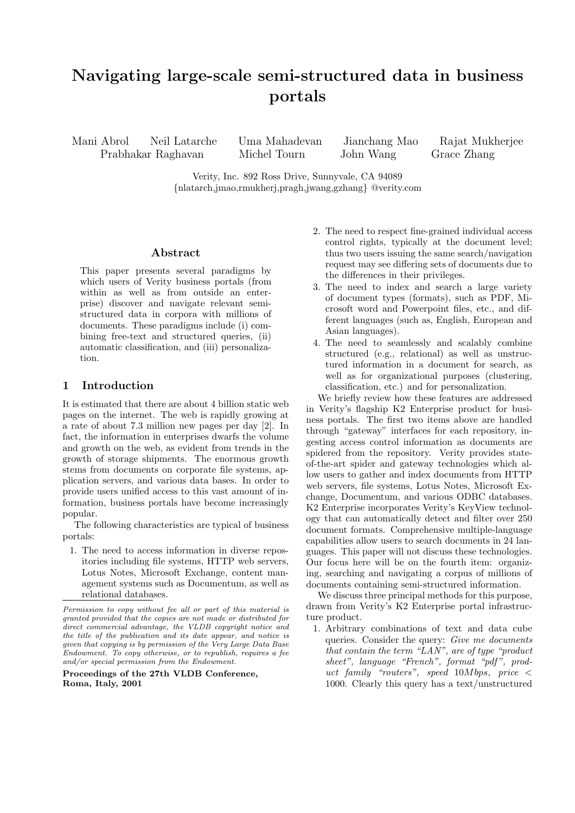# **Navigating large-scale semi-structured data in business portals**

Mani Abrol Neil Latarche Uma Mahadevan Jianchang Mao Rajat Mukherjee Prabhakar Raghavan Michel Tourn John Wang Grace Zhang

Verity, Inc. 892 Ross Drive, Sunnyvale, CA 94089 {nlatarch,jmao,rmukherj,pragh,jwang,gzhang} @verity.com

### **Abstract**

This paper presents several paradigms by which users of Verity business portals (from within as well as from outside an enterprise) discover and navigate relevant semistructured data in corpora with millions of documents. These paradigms include (i) combining free-text and structured queries, (ii) automatic classification, and (iii) personalization.

## **1 Introduction**

It is estimated that there are about 4 billion static web pages on the internet. The web is rapidly growing at a rate of about 7.3 million new pages per day [2]. In fact, the information in enterprises dwarfs the volume and growth on the web, as evident from trends in the growth of storage shipments. The enormous growth stems from documents on corporate file systems, application servers, and various data bases. In order to provide users unified access to this vast amount of information, business portals have become increasingly popular.

The following characteristics are typical of business portals:

1. The need to access information in diverse repositories including file systems, HTTP web servers, Lotus Notes, Microsoft Exchange, content management systems such as Documentum, as well as relational databases.

**Proceedings of the 27th VLDB Conference, Roma, Italy, 2001**

- 2. The need to respect fine-grained individual access control rights, typically at the document level; thus two users issuing the same search/navigation request may see differing sets of documents due to the differences in their privileges.
- 3. The need to index and search a large variety of document types (formats), such as PDF, Microsoft word and Powerpoint files, etc., and different languages (such as, English, European and Asian languages).
- 4. The need to seamlessly and scalably combine structured (e.g., relational) as well as unstructured information in a document for search, as well as for organizational purposes (clustering, classification, etc.) and for personalization.

We briefly review how these features are addressed in Verity's flagship K2 Enterprise product for business portals. The first two items above are handled through "gateway" interfaces for each repository, ingesting access control information as documents are spidered from the repository. Verity provides stateof-the-art spider and gateway technologies which allow users to gather and index documents from HTTP web servers, file systems, Lotus Notes, Microsoft Exchange, Documentum, and various ODBC databases. K2 Enterprise incorporates Verity's KeyView technology that can automatically detect and filter over 250 document formats. Comprehensive multiple-language capabilities allow users to search documents in 24 languages. This paper will not discuss these technologies. Our focus here will be on the fourth item: organizing, searching and navigating a corpus of millions of documents containing semi-structured information.

We discuss three principal methods for this purpose, drawn from Verity's K2 Enterprise portal infrastructure product.

1. Arbitrary combinations of text and data cube queries. Consider the query: *Give me documents that contain the term "LAN", are of type "product sheet", language "French", format "pdf ", product family "routers", speed* <sup>10</sup>*M bps, price <* 1000. Clearly this query has a text/unstructured

*Permission to copy without fee all or part of this material is granted provided that the copies are not made or distributed for direct commercial advantage, the VLDB copyright notice and the title of the publication and its date appear, and notice is given that copying is by permission of the Very Large Data Base Endowment. To copy otherwise, or to republish, requires a fee and/or special permission from the Endowment.*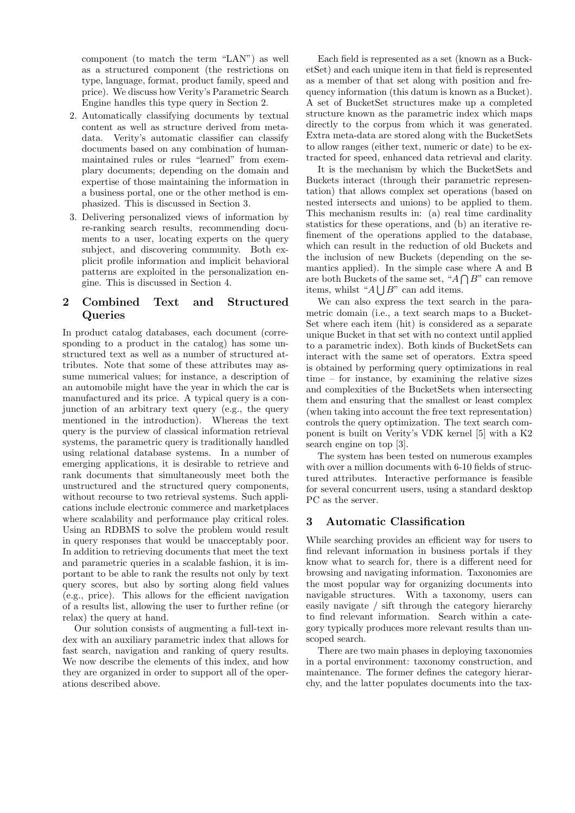component (to match the term "LAN") as well as a structured component (the restrictions on type, language, format, product family, speed and price). We discuss how Verity's Parametric Search Engine handles this type query in Section 2.

- 2. Automatically classifying documents by textual content as well as structure derived from metadata. Verity's automatic classifier can classify documents based on any combination of humanmaintained rules or rules "learned" from exemplary documents; depending on the domain and expertise of those maintaining the information in a business portal, one or the other method is emphasized. This is discussed in Section 3.
- 3. Delivering personalized views of information by re-ranking search results, recommending documents to a user, locating experts on the query subject, and discovering community. Both explicit profile information and implicit behavioral patterns are exploited in the personalization engine. This is discussed in Section 4.

# **2 Combined Text and Structured Queries**

In product catalog databases, each document (corresponding to a product in the catalog) has some unstructured text as well as a number of structured attributes. Note that some of these attributes may assume numerical values; for instance, a description of an automobile might have the year in which the car is manufactured and its price. A typical query is a conjunction of an arbitrary text query (e.g., the query mentioned in the introduction). Whereas the text query is the purview of classical information retrieval systems, the parametric query is traditionally handled using relational database systems. In a number of emerging applications, it is desirable to retrieve and rank documents that simultaneously meet both the unstructured and the structured query components, without recourse to two retrieval systems. Such applications include electronic commerce and marketplaces where scalability and performance play critical roles. Using an RDBMS to solve the problem would result in query responses that would be unacceptably poor. In addition to retrieving documents that meet the text and parametric queries in a scalable fashion, it is important to be able to rank the results not only by text query scores, but also by sorting along field values (e.g., price). This allows for the efficient navigation of a results list, allowing the user to further refine (or relax) the query at hand.

Our solution consists of augmenting a full-text index with an auxiliary parametric index that allows for fast search, navigation and ranking of query results. We now describe the elements of this index, and how they are organized in order to support all of the operations described above.

Each field is represented as a set (known as a BucketSet) and each unique item in that field is represented as a member of that set along with position and frequency information (this datum is known as a Bucket). A set of BucketSet structures make up a completed structure known as the parametric index which maps directly to the corpus from which it was generated. Extra meta-data are stored along with the BucketSets to allow ranges (either text, numeric or date) to be extracted for speed, enhanced data retrieval and clarity.

It is the mechanism by which the BucketSets and Buckets interact (through their parametric representation) that allows complex set operations (based on nested intersects and unions) to be applied to them. This mechanism results in: (a) real time cardinality statistics for these operations, and (b) an iterative refinement of the operations applied to the database, which can result in the reduction of old Buckets and the inclusion of new Buckets (depending on the semantics applied). In the simple case where A and B are both Buckets of the same set, " $A \bigcap B$ " can remove items, whilst " $A \bigcup B$ " can add items.<br>We can also express the text soon

We can also express the text search in the parametric domain (i.e., a text search maps to a Bucket-Set where each item (hit) is considered as a separate unique Bucket in that set with no context until applied to a parametric index). Both kinds of BucketSets can interact with the same set of operators. Extra speed is obtained by performing query optimizations in real time – for instance, by examining the relative sizes and complexities of the BucketSets when intersecting them and ensuring that the smallest or least complex (when taking into account the free text representation) controls the query optimization. The text search component is built on Verity's VDK kernel [5] with a K2 search engine on top [3].

The system has been tested on numerous examples with over a million documents with 6-10 fields of structured attributes. Interactive performance is feasible for several concurrent users, using a standard desktop PC as the server.

## **3 Automatic Classification**

While searching provides an efficient way for users to find relevant information in business portals if they know what to search for, there is a different need for browsing and navigating information. Taxonomies are the most popular way for organizing documents into navigable structures. With a taxonomy, users can easily navigate / sift through the category hierarchy to find relevant information. Search within a category typically produces more relevant results than unscoped search.

There are two main phases in deploying taxonomies in a portal environment: taxonomy construction, and maintenance. The former defines the category hierarchy, and the latter populates documents into the tax-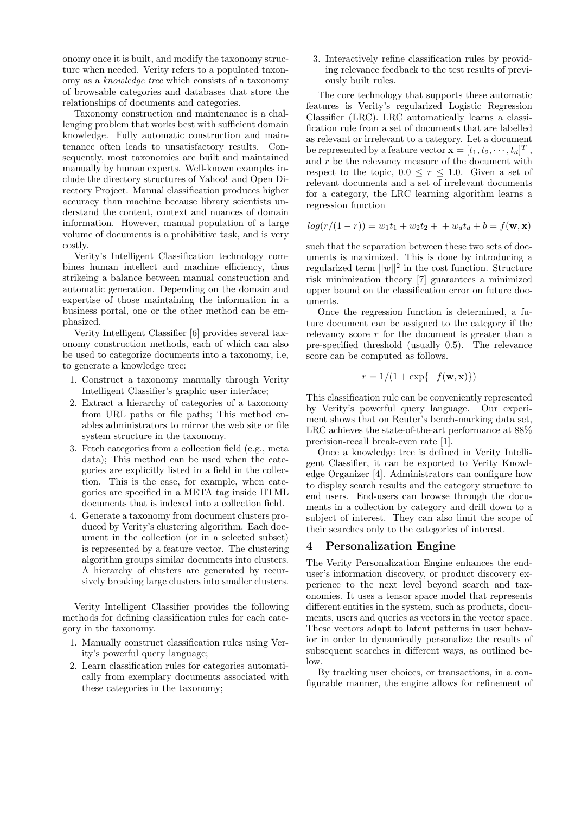onomy once it is built, and modify the taxonomy structure when needed. Verity refers to a populated taxonomy as a *knowledge tree* which consists of a taxonomy of browsable categories and databases that store the relationships of documents and categories.

Taxonomy construction and maintenance is a challenging problem that works best with sufficient domain knowledge. Fully automatic construction and maintenance often leads to unsatisfactory results. Consequently, most taxonomies are built and maintained manually by human experts. Well-known examples include the directory structures of Yahoo! and Open Directory Project. Manual classification produces higher accuracy than machine because library scientists understand the content, context and nuances of domain information. However, manual population of a large volume of documents is a prohibitive task, and is very costly.

Verity's Intelligent Classification technology combines human intellect and machine efficiency, thus strikeing a balance between manual construction and automatic generation. Depending on the domain and expertise of those maintaining the information in a business portal, one or the other method can be emphasized.

Verity Intelligent Classifier [6] provides several taxonomy construction methods, each of which can also be used to categorize documents into a taxonomy, i.e, to generate a knowledge tree:

- 1. Construct a taxonomy manually through Verity Intelligent Classifier's graphic user interface;
- 2. Extract a hierarchy of categories of a taxonomy from URL paths or file paths; This method enables administrators to mirror the web site or file system structure in the taxonomy.
- 3. Fetch categories from a collection field (e.g., meta data); This method can be used when the categories are explicitly listed in a field in the collection. This is the case, for example, when categories are specified in a META tag inside HTML documents that is indexed into a collection field.
- 4. Generate a taxonomy from document clusters produced by Verity's clustering algorithm. Each document in the collection (or in a selected subset) is represented by a feature vector. The clustering algorithm groups similar documents into clusters. A hierarchy of clusters are generated by recursively breaking large clusters into smaller clusters.

Verity Intelligent Classifier provides the following methods for defining classification rules for each category in the taxonomy.

- 1. Manually construct classification rules using Verity's powerful query language;
- 2. Learn classification rules for categories automatically from exemplary documents associated with these categories in the taxonomy;

3. Interactively refine classification rules by providing relevance feedback to the test results of previously built rules.

The core technology that supports these automatic features is Verity's regularized Logistic Regression Classifier (LRC). LRC automatically learns a classification rule from a set of documents that are labelled as relevant or irrelevant to a category. Let a document be represented by a feature vector  $\mathbf{x} = [t_1, t_2, \dots, t_d]^T$ , and r be the relevancy measure of the document with and *r* be the relevancy measure of the document with respect to the topic,  $0.0 \le r \le 1.0$ . Given a set of relevant documents and a set of irrelevant documents for a category, the LRC learning algorithm learns a regression function

$$
log(r/(1-r)) = w_1t_1 + w_2t_2 + \cdots + w_dt_d + b = f(\mathbf{w}, \mathbf{x})
$$

such that the separation between these two sets of documents is maximized. This is done by introducing a regularized term  $||w||^2$  in the cost function. Structure risk minimization theory [7] guarantees a minimized upper bound on the classification error on future documents.

Once the regression function is determined, a future document can be assigned to the category if the relevancy score *r* for the document is greater than a pre-specified threshold (usually 0.5). The relevance score can be computed as follows.

$$
r = 1/(1 + \exp\{-f(\mathbf{w}, \mathbf{x})\})
$$

This classification rule can be conveniently represented by Verity's powerful query language. Our experiment shows that on Reuter's bench-marking data set, LRC achieves the state-of-the-art performance at 88% precision-recall break-even rate [1].

Once a knowledge tree is defined in Verity Intelligent Classifier, it can be exported to Verity Knowledge Organizer [4]. Administrators can configure how to display search results and the category structure to end users. End-users can browse through the documents in a collection by category and drill down to a subject of interest. They can also limit the scope of their searches only to the categories of interest.

#### **4 Personalization Engine**

The Verity Personalization Engine enhances the enduser's information discovery, or product discovery experience to the next level beyond search and taxonomies. It uses a tensor space model that represents different entities in the system, such as products, documents, users and queries as vectors in the vector space. These vectors adapt to latent patterns in user behavior in order to dynamically personalize the results of subsequent searches in different ways, as outlined below.

By tracking user choices, or transactions, in a configurable manner, the engine allows for refinement of